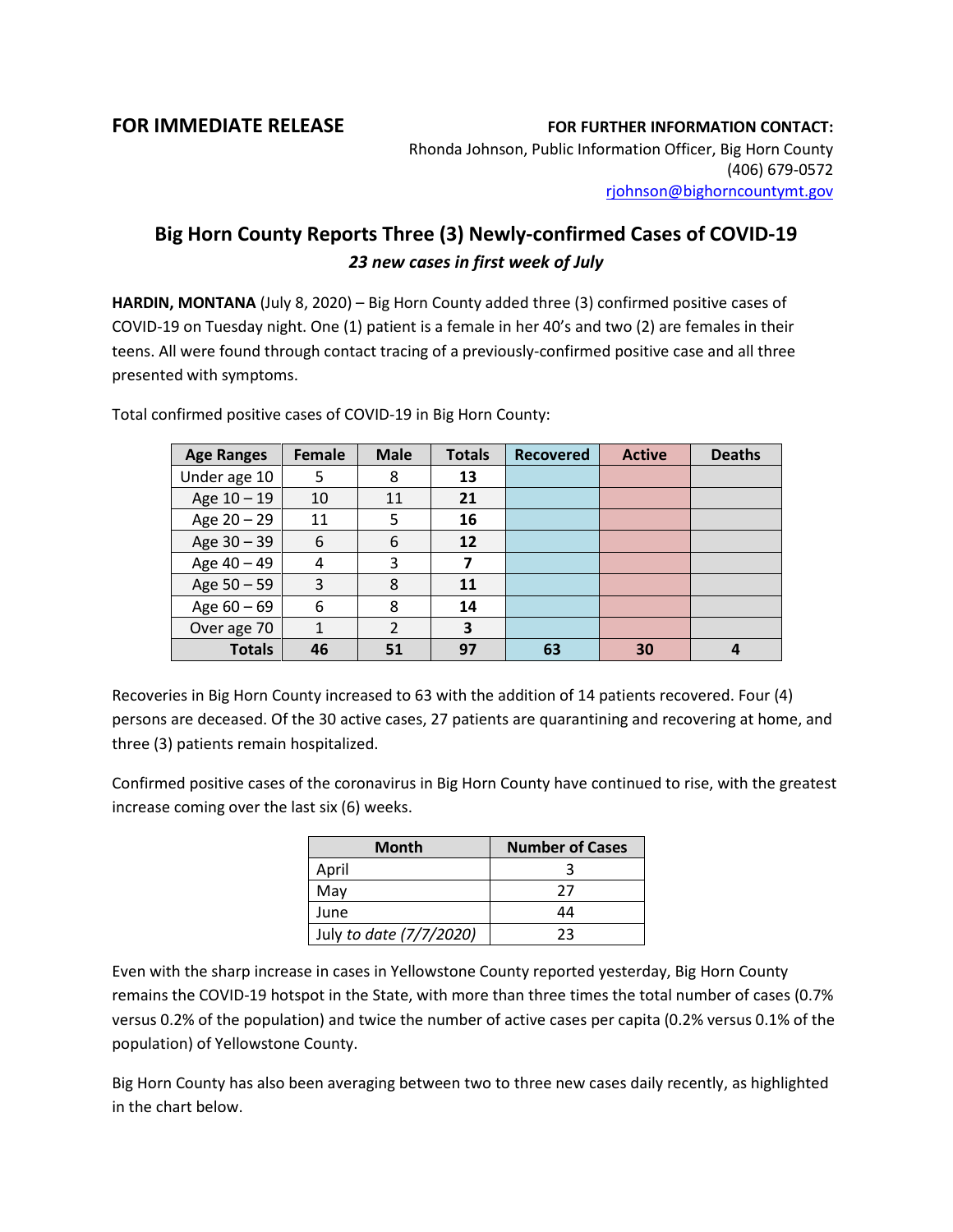**FOR IMMEDIATE RELEASE FOR FURTHER INFORMATION CONTACT:**

Rhonda Johnson, Public Information Officer, Big Horn County (406) 679-0572 [rjohnson@bighorncountymt.gov](mailto:rjohnson@bighorncountymt.gov)

## **Big Horn County Reports Three (3) Newly-confirmed Cases of COVID-19**  *23 new cases in first week of July*

**HARDIN, MONTANA** (July 8, 2020) – Big Horn County added three (3) confirmed positive cases of COVID-19 on Tuesday night. One (1) patient is a female in her 40's and two (2) are females in their teens. All were found through contact tracing of a previously-confirmed positive case and all three presented with symptoms.

| <b>Age Ranges</b> | <b>Female</b> | <b>Male</b>   | <b>Totals</b> | <b>Recovered</b> | <b>Active</b> | <b>Deaths</b> |
|-------------------|---------------|---------------|---------------|------------------|---------------|---------------|
| Under age 10      | 5             | 8             | 13            |                  |               |               |
| Age 10 - 19       | 10            | 11            | 21            |                  |               |               |
| Age 20 - 29       | 11            | 5             | 16            |                  |               |               |
| Age 30 - 39       | 6             | 6             | 12            |                  |               |               |
| Age 40 - 49       | 4             | 3             | 7             |                  |               |               |
| Age 50 - 59       | 3             | 8             | 11            |                  |               |               |
| Age $60 - 69$     | 6             | 8             | 14            |                  |               |               |
| Over age 70       | $\mathbf{1}$  | $\mathcal{P}$ | 3             |                  |               |               |
| <b>Totals</b>     | 46            | 51            | 97            | 63               | 30            |               |

Total confirmed positive cases of COVID-19 in Big Horn County:

Recoveries in Big Horn County increased to 63 with the addition of 14 patients recovered. Four (4) persons are deceased. Of the 30 active cases, 27 patients are quarantining and recovering at home, and three (3) patients remain hospitalized.

Confirmed positive cases of the coronavirus in Big Horn County have continued to rise, with the greatest increase coming over the last six (6) weeks.

| <b>Month</b>            | <b>Number of Cases</b> |  |  |
|-------------------------|------------------------|--|--|
| April                   |                        |  |  |
| May                     | 27                     |  |  |
| June                    | 44                     |  |  |
| July to date (7/7/2020) | つっ                     |  |  |

Even with the sharp increase in cases in Yellowstone County reported yesterday, Big Horn County remains the COVID-19 hotspot in the State, with more than three times the total number of cases (0.7% versus 0.2% of the population) and twice the number of active cases per capita (0.2% versus 0.1% of the population) of Yellowstone County.

Big Horn County has also been averaging between two to three new cases daily recently, as highlighted in the chart below.